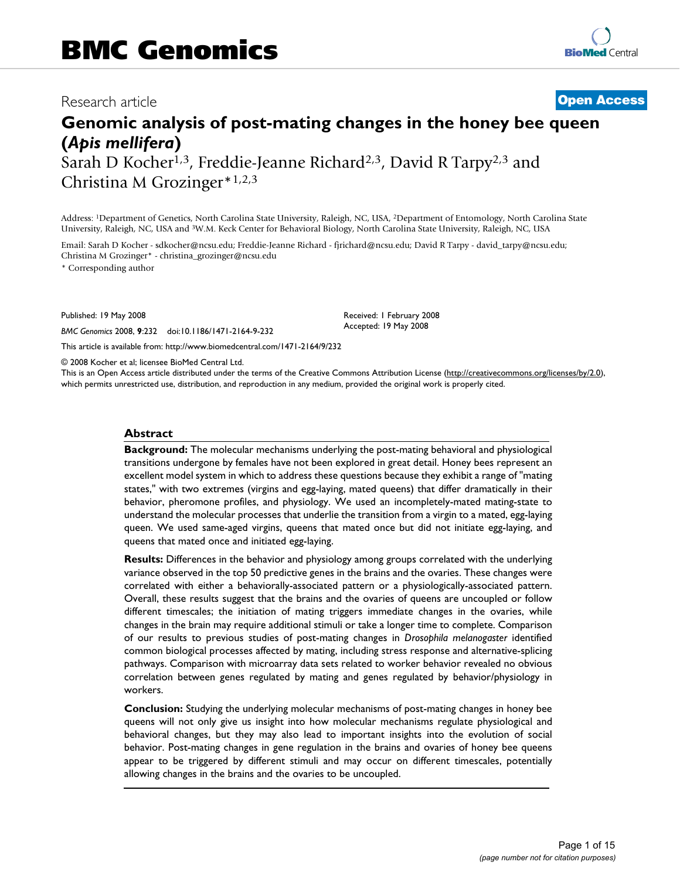# Research article **[Open Access](http://www.biomedcentral.com/info/about/charter/)**

# **Genomic analysis of post-mating changes in the honey bee queen (***Apis mellifera***)**

Sarah D Kocher<sup>1,3</sup>, Freddie-Jeanne Richard<sup>2,3</sup>, David R Tarpy<sup>2,3</sup> and Christina M Grozinger\*1,2,3

Address: 1Department of Genetics, North Carolina State University, Raleigh, NC, USA, 2Department of Entomology, North Carolina State University, Raleigh, NC, USA and 3W.M. Keck Center for Behavioral Biology, North Carolina State University, Raleigh, NC, USA

Email: Sarah D Kocher - sdkocher@ncsu.edu; Freddie-Jeanne Richard - fjrichard@ncsu.edu; David R Tarpy - david\_tarpy@ncsu.edu; Christina M Grozinger\* - christina\_grozinger@ncsu.edu

\* Corresponding author

Published: 19 May 2008

*BMC Genomics* 2008, **9**:232 doi:10.1186/1471-2164-9-232

[This article is available from: http://www.biomedcentral.com/1471-2164/9/232](http://www.biomedcentral.com/1471-2164/9/232)

© 2008 Kocher et al; licensee BioMed Central Ltd.

This is an Open Access article distributed under the terms of the Creative Commons Attribution License [\(http://creativecommons.org/licenses/by/2.0\)](http://creativecommons.org/licenses/by/2.0), which permits unrestricted use, distribution, and reproduction in any medium, provided the original work is properly cited.

Received: 1 February 2008 Accepted: 19 May 2008

#### **Abstract**

**Background:** The molecular mechanisms underlying the post-mating behavioral and physiological transitions undergone by females have not been explored in great detail. Honey bees represent an excellent model system in which to address these questions because they exhibit a range of "mating states," with two extremes (virgins and egg-laying, mated queens) that differ dramatically in their behavior, pheromone profiles, and physiology. We used an incompletely-mated mating-state to understand the molecular processes that underlie the transition from a virgin to a mated, egg-laying queen. We used same-aged virgins, queens that mated once but did not initiate egg-laying, and queens that mated once and initiated egg-laying.

**Results:** Differences in the behavior and physiology among groups correlated with the underlying variance observed in the top 50 predictive genes in the brains and the ovaries. These changes were correlated with either a behaviorally-associated pattern or a physiologically-associated pattern. Overall, these results suggest that the brains and the ovaries of queens are uncoupled or follow different timescales; the initiation of mating triggers immediate changes in the ovaries, while changes in the brain may require additional stimuli or take a longer time to complete. Comparison of our results to previous studies of post-mating changes in *Drosophila melanogaster* identified common biological processes affected by mating, including stress response and alternative-splicing pathways. Comparison with microarray data sets related to worker behavior revealed no obvious correlation between genes regulated by mating and genes regulated by behavior/physiology in workers.

**Conclusion:** Studying the underlying molecular mechanisms of post-mating changes in honey bee queens will not only give us insight into how molecular mechanisms regulate physiological and behavioral changes, but they may also lead to important insights into the evolution of social behavior. Post-mating changes in gene regulation in the brains and ovaries of honey bee queens appear to be triggered by different stimuli and may occur on different timescales, potentially allowing changes in the brains and the ovaries to be uncoupled.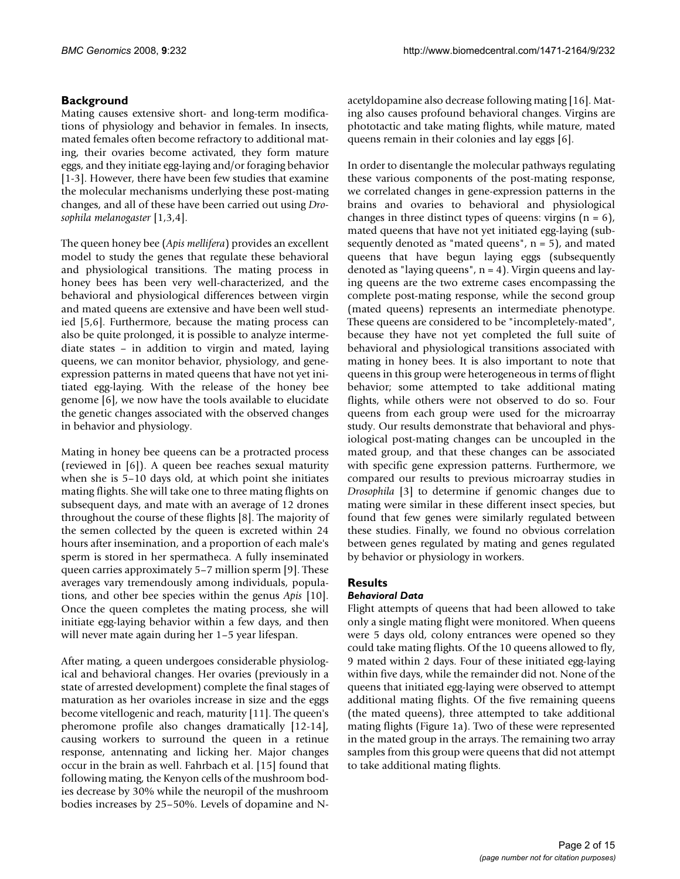# **Background**

Mating causes extensive short- and long-term modifications of physiology and behavior in females. In insects, mated females often become refractory to additional mating, their ovaries become activated, they form mature eggs, and they initiate egg-laying and/or foraging behavior [1-3]. However, there have been few studies that examine the molecular mechanisms underlying these post-mating changes, and all of these have been carried out using *Drosophila melanogaster* [1,3,4].

The queen honey bee (*Apis mellifera*) provides an excellent model to study the genes that regulate these behavioral and physiological transitions. The mating process in honey bees has been very well-characterized, and the behavioral and physiological differences between virgin and mated queens are extensive and have been well studied [5,6]. Furthermore, because the mating process can also be quite prolonged, it is possible to analyze intermediate states – in addition to virgin and mated, laying queens, we can monitor behavior, physiology, and geneexpression patterns in mated queens that have not yet initiated egg-laying. With the release of the honey bee genome [6], we now have the tools available to elucidate the genetic changes associated with the observed changes in behavior and physiology.

Mating in honey bee queens can be a protracted process (reviewed in [6]). A queen bee reaches sexual maturity when she is 5–10 days old, at which point she initiates mating flights. She will take one to three mating flights on subsequent days, and mate with an average of 12 drones throughout the course of these flights [8]. The majority of the semen collected by the queen is excreted within 24 hours after insemination, and a proportion of each male's sperm is stored in her spermatheca. A fully inseminated queen carries approximately 5–7 million sperm [9]. These averages vary tremendously among individuals, populations, and other bee species within the genus *Apis* [10]. Once the queen completes the mating process, she will initiate egg-laying behavior within a few days, and then will never mate again during her 1–5 year lifespan.

After mating, a queen undergoes considerable physiological and behavioral changes. Her ovaries (previously in a state of arrested development) complete the final stages of maturation as her ovarioles increase in size and the eggs become vitellogenic and reach, maturity [11]. The queen's pheromone profile also changes dramatically [12-14], causing workers to surround the queen in a retinue response, antennating and licking her. Major changes occur in the brain as well. Fahrbach et al. [15] found that following mating, the Kenyon cells of the mushroom bodies decrease by 30% while the neuropil of the mushroom bodies increases by 25–50%. Levels of dopamine and N-

acetyldopamine also decrease following mating [16]. Mating also causes profound behavioral changes. Virgins are phototactic and take mating flights, while mature, mated queens remain in their colonies and lay eggs [6].

In order to disentangle the molecular pathways regulating these various components of the post-mating response, we correlated changes in gene-expression patterns in the brains and ovaries to behavioral and physiological changes in three distinct types of queens: virgins  $(n = 6)$ , mated queens that have not yet initiated egg-laying (subsequently denoted as "mated queens",  $n = 5$ ), and mated queens that have begun laying eggs (subsequently denoted as "laying queens",  $n = 4$ ). Virgin queens and laying queens are the two extreme cases encompassing the complete post-mating response, while the second group (mated queens) represents an intermediate phenotype. These queens are considered to be "incompletely-mated", because they have not yet completed the full suite of behavioral and physiological transitions associated with mating in honey bees. It is also important to note that queens in this group were heterogeneous in terms of flight behavior; some attempted to take additional mating flights, while others were not observed to do so. Four queens from each group were used for the microarray study. Our results demonstrate that behavioral and physiological post-mating changes can be uncoupled in the mated group, and that these changes can be associated with specific gene expression patterns. Furthermore, we compared our results to previous microarray studies in *Drosophila* [3] to determine if genomic changes due to mating were similar in these different insect species, but found that few genes were similarly regulated between these studies. Finally, we found no obvious correlation between genes regulated by mating and genes regulated by behavior or physiology in workers.

# **Results**

# *Behavioral Data*

Flight attempts of queens that had been allowed to take only a single mating flight were monitored. When queens were 5 days old, colony entrances were opened so they could take mating flights. Of the 10 queens allowed to fly, 9 mated within 2 days. Four of these initiated egg-laying within five days, while the remainder did not. None of the queens that initiated egg-laying were observed to attempt additional mating flights. Of the five remaining queens (the mated queens), three attempted to take additional mating flights (Figure 1a). Two of these were represented in the mated group in the arrays. The remaining two array samples from this group were queens that did not attempt to take additional mating flights.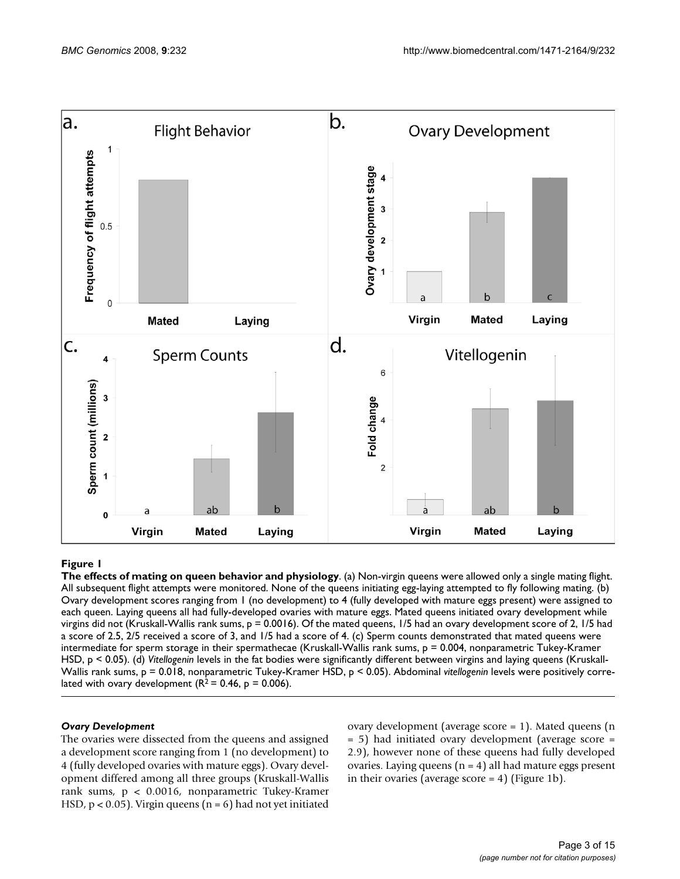

## Figure 1

**The effects of mating on queen behavior and physiology**. (a) Non-virgin queens were allowed only a single mating flight. All subsequent flight attempts were monitored. None of the queens initiating egg-laying attempted to fly following mating. (b) Ovary development scores ranging from 1 (no development) to 4 (fully developed with mature eggs present) were assigned to each queen. Laying queens all had fully-developed ovaries with mature eggs. Mated queens initiated ovary development while virgins did not (Kruskall-Wallis rank sums, p = 0.0016). Of the mated queens, 1/5 had an ovary development score of 2, 1/5 had a score of 2.5, 2/5 received a score of 3, and 1/5 had a score of 4. (c) Sperm counts demonstrated that mated queens were intermediate for sperm storage in their spermathecae (Kruskall-Wallis rank sums, p = 0.004, nonparametric Tukey-Kramer HSD, p < 0.05). (d) *Vitellogenin* levels in the fat bodies were significantly different between virgins and laying queens (Kruskall-Wallis rank sums, p = 0.018, nonparametric Tukey-Kramer HSD, p < 0.05). Abdominal *vitellogenin* levels were positively correlated with ovary development ( $R^2$  = 0.46,  $p$  = 0.006).

## *Ovary Development*

The ovaries were dissected from the queens and assigned a development score ranging from 1 (no development) to 4 (fully developed ovaries with mature eggs). Ovary development differed among all three groups (Kruskall-Wallis rank sums, p < 0.0016, nonparametric Tukey-Kramer HSD,  $p < 0.05$ ). Virgin queens ( $n = 6$ ) had not yet initiated ovary development (average score = 1). Mated queens (n = 5) had initiated ovary development (average score = 2.9), however none of these queens had fully developed ovaries. Laying queens  $(n = 4)$  all had mature eggs present in their ovaries (average score  $= 4$ ) (Figure 1b).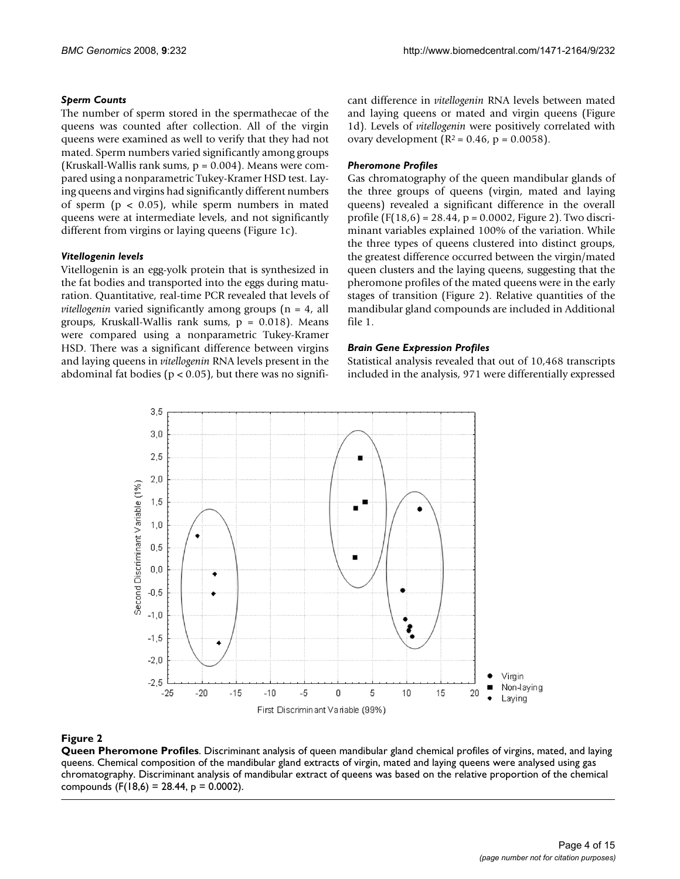## *Sperm Counts*

The number of sperm stored in the spermathecae of the queens was counted after collection. All of the virgin queens were examined as well to verify that they had not mated. Sperm numbers varied significantly among groups (Kruskall-Wallis rank sums, p = 0.004). Means were compared using a nonparametric Tukey-Kramer HSD test. Laying queens and virgins had significantly different numbers of sperm ( $p < 0.05$ ), while sperm numbers in mated queens were at intermediate levels, and not significantly different from virgins or laying queens (Figure 1c).

## *Vitellogenin levels*

Vitellogenin is an egg-yolk protein that is synthesized in the fat bodies and transported into the eggs during maturation. Quantitative, real-time PCR revealed that levels of *vitellogenin* varied significantly among groups (n = 4, all groups, Kruskall-Wallis rank sums,  $p = 0.018$ ). Means were compared using a nonparametric Tukey-Kramer HSD. There was a significant difference between virgins and laying queens in *vitellogenin* RNA levels present in the abdominal fat bodies ( $p < 0.05$ ), but there was no significant difference in *vitellogenin* RNA levels between mated and laying queens or mated and virgin queens (Figure 1d). Levels of *vitellogenin* were positively correlated with ovary development ( $R^2 = 0.46$ ,  $p = 0.0058$ ).

## *Pheromone Profiles*

Gas chromatography of the queen mandibular glands of the three groups of queens (virgin, mated and laying queens) revealed a significant difference in the overall profile  $(F(18,6) = 28.44, p = 0.0002, Figure 2)$ . Two discriminant variables explained 100% of the variation. While the three types of queens clustered into distinct groups, the greatest difference occurred between the virgin/mated queen clusters and the laying queens, suggesting that the pheromone profiles of the mated queens were in the early stages of transition (Figure 2). Relative quantities of the mandibular gland compounds are included in Additional file 1.

## *Brain Gene Expression Profiles*

Statistical analysis revealed that out of 10,468 transcripts included in the analysis, 971 were differentially expressed



# **Figure 2**

**Queen Pheromone Profiles**. Discriminant analysis of queen mandibular gland chemical profiles of virgins, mated, and laying queens. Chemical composition of the mandibular gland extracts of virgin, mated and laying queens were analysed using gas chromatography. Discriminant analysis of mandibular extract of queens was based on the relative proportion of the chemical compounds (F(18,6) = 28.44,  $p = 0.0002$ ).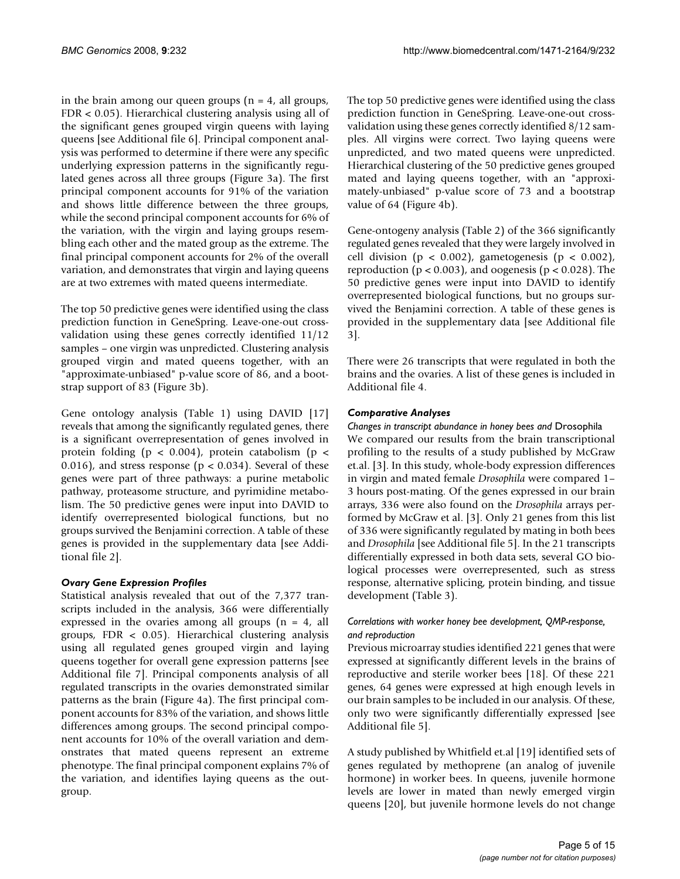in the brain among our queen groups ( $n = 4$ , all groups, FDR < 0.05). Hierarchical clustering analysis using all of the significant genes grouped virgin queens with laying queens [see Additional file 6]. Principal component analysis was performed to determine if there were any specific underlying expression patterns in the significantly regulated genes across all three groups (Figure 3a). The first principal component accounts for 91% of the variation and shows little difference between the three groups, while the second principal component accounts for 6% of the variation, with the virgin and laying groups resembling each other and the mated group as the extreme. The final principal component accounts for 2% of the overall variation, and demonstrates that virgin and laying queens are at two extremes with mated queens intermediate.

The top 50 predictive genes were identified using the class prediction function in GeneSpring. Leave-one-out crossvalidation using these genes correctly identified 11/12 samples – one virgin was unpredicted. Clustering analysis grouped virgin and mated queens together, with an "approximate-unbiased" p-value score of 86, and a bootstrap support of 83 (Figure 3b).

Gene ontology analysis (Table 1) using DAVID [17] reveals that among the significantly regulated genes, there is a significant overrepresentation of genes involved in protein folding ( $p < 0.004$ ), protein catabolism ( $p <$ 0.016), and stress response ( $p < 0.034$ ). Several of these genes were part of three pathways: a purine metabolic pathway, proteasome structure, and pyrimidine metabolism. The 50 predictive genes were input into DAVID to identify overrepresented biological functions, but no groups survived the Benjamini correction. A table of these genes is provided in the supplementary data [see Additional file 2].

# *Ovary Gene Expression Profiles*

Statistical analysis revealed that out of the 7,377 transcripts included in the analysis, 366 were differentially expressed in the ovaries among all groups  $(n = 4, all)$ groups, FDR < 0.05). Hierarchical clustering analysis using all regulated genes grouped virgin and laying queens together for overall gene expression patterns [see Additional file 7]. Principal components analysis of all regulated transcripts in the ovaries demonstrated similar patterns as the brain (Figure 4a). The first principal component accounts for 83% of the variation, and shows little differences among groups. The second principal component accounts for 10% of the overall variation and demonstrates that mated queens represent an extreme phenotype. The final principal component explains 7% of the variation, and identifies laying queens as the outgroup.

The top 50 predictive genes were identified using the class prediction function in GeneSpring. Leave-one-out crossvalidation using these genes correctly identified 8/12 samples. All virgins were correct. Two laying queens were unpredicted, and two mated queens were unpredicted. Hierarchical clustering of the 50 predictive genes grouped mated and laying queens together, with an "approximately-unbiased" p-value score of 73 and a bootstrap value of 64 (Figure 4b).

Gene-ontogeny analysis (Table 2) of the 366 significantly regulated genes revealed that they were largely involved in cell division ( $p < 0.002$ ), gametogenesis ( $p < 0.002$ ), reproduction ( $p < 0.003$ ), and oogenesis ( $p < 0.028$ ). The 50 predictive genes were input into DAVID to identify overrepresented biological functions, but no groups survived the Benjamini correction. A table of these genes is provided in the supplementary data [see Additional file 3].

There were 26 transcripts that were regulated in both the brains and the ovaries. A list of these genes is included in Additional file 4.

## *Comparative Analyses*

*Changes in transcript abundance in honey bees and* Drosophila We compared our results from the brain transcriptional profiling to the results of a study published by McGraw et.al. [3]. In this study, whole-body expression differences in virgin and mated female *Drosophila* were compared 1– 3 hours post-mating. Of the genes expressed in our brain arrays, 336 were also found on the *Drosophila* arrays performed by McGraw et al. [3]. Only 21 genes from this list of 336 were significantly regulated by mating in both bees and *Drosophila* [see Additional file 5]. In the 21 transcripts differentially expressed in both data sets, several GO biological processes were overrepresented, such as stress response, alternative splicing, protein binding, and tissue development (Table 3).

## *Correlations with worker honey bee development, QMP-response, and reproduction*

Previous microarray studies identified 221 genes that were expressed at significantly different levels in the brains of reproductive and sterile worker bees [18]. Of these 221 genes, 64 genes were expressed at high enough levels in our brain samples to be included in our analysis. Of these, only two were significantly differentially expressed [see Additional file 5].

A study published by Whitfield et.al [19] identified sets of genes regulated by methoprene (an analog of juvenile hormone) in worker bees. In queens, juvenile hormone levels are lower in mated than newly emerged virgin queens [20], but juvenile hormone levels do not change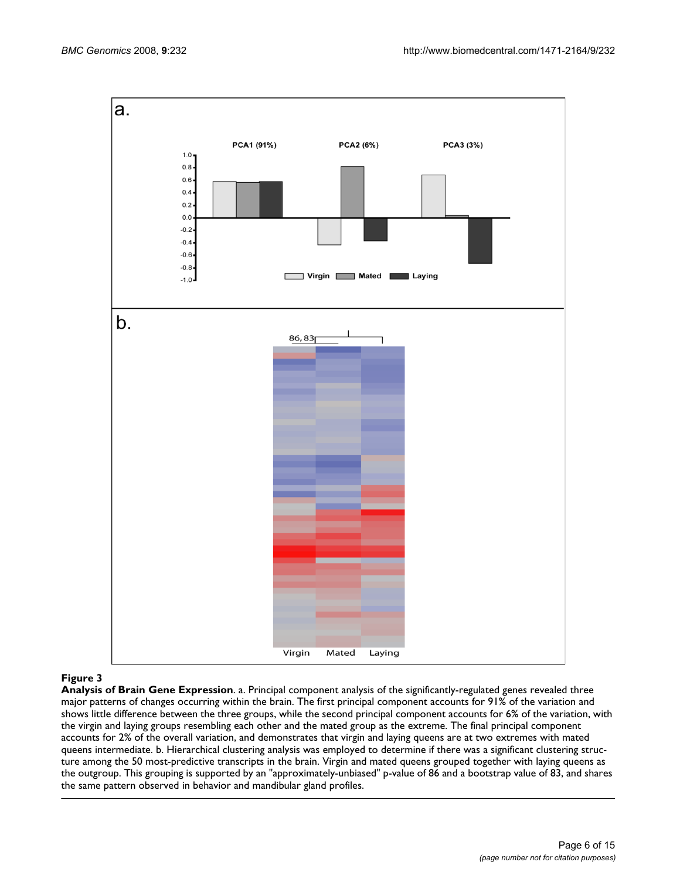

# **Figure 3**

**Analysis of Brain Gene Expression**. a. Principal component analysis of the significantly-regulated genes revealed three major patterns of changes occurring within the brain. The first principal component accounts for 91% of the variation and shows little difference between the three groups, while the second principal component accounts for 6% of the variation, with the virgin and laying groups resembling each other and the mated group as the extreme. The final principal component accounts for 2% of the overall variation, and demonstrates that virgin and laying queens are at two extremes with mated queens intermediate. b. Hierarchical clustering analysis was employed to determine if there was a significant clustering structure among the 50 most-predictive transcripts in the brain. Virgin and mated queens grouped together with laying queens as the outgroup. This grouping is supported by an "approximately-unbiased" p-value of 86 and a bootstrap value of 83, and shares the same pattern observed in behavior and mandibular gland profiles.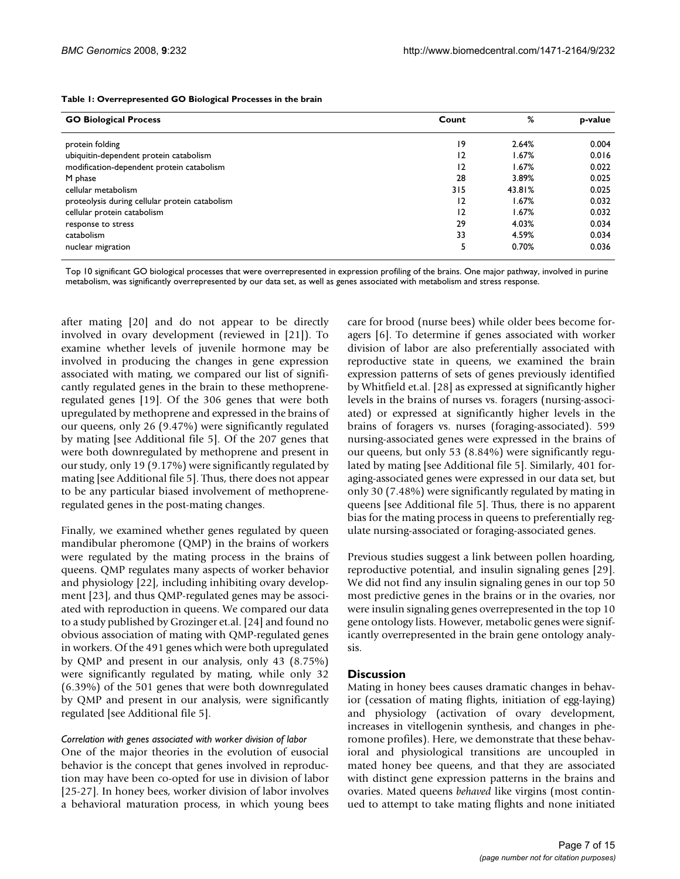| <b>GO Biological Process</b>                   | Count          | %      | p-value |
|------------------------------------------------|----------------|--------|---------|
| protein folding                                | 19             | 2.64%  | 0.004   |
| ubiquitin-dependent protein catabolism         | $\overline{2}$ | 1.67%  | 0.016   |
| modification-dependent protein catabolism      | $\overline{2}$ | 1.67%  | 0.022   |
| M phase                                        | 28             | 3.89%  | 0.025   |
| cellular metabolism                            | 315            | 43.81% | 0.025   |
| proteolysis during cellular protein catabolism | $\overline{2}$ | 1.67%  | 0.032   |
| cellular protein catabolism                    | $\overline{2}$ | 1.67%  | 0.032   |
| response to stress                             | 29             | 4.03%  | 0.034   |
| catabolism                                     | 33             | 4.59%  | 0.034   |
| nuclear migration                              | 5              | 0.70%  | 0.036   |

#### **Table 1: Overrepresented GO Biological Processes in the brain**

Top 10 significant GO biological processes that were overrepresented in expression profiling of the brains. One major pathway, involved in purine metabolism, was significantly overrepresented by our data set, as well as genes associated with metabolism and stress response.

after mating [20] and do not appear to be directly involved in ovary development (reviewed in [21]). To examine whether levels of juvenile hormone may be involved in producing the changes in gene expression associated with mating, we compared our list of significantly regulated genes in the brain to these methopreneregulated genes [19]. Of the 306 genes that were both upregulated by methoprene and expressed in the brains of our queens, only 26 (9.47%) were significantly regulated by mating [see Additional file 5]. Of the 207 genes that were both downregulated by methoprene and present in our study, only 19 (9.17%) were significantly regulated by mating [see Additional file 5]. Thus, there does not appear to be any particular biased involvement of methopreneregulated genes in the post-mating changes.

Finally, we examined whether genes regulated by queen mandibular pheromone (QMP) in the brains of workers were regulated by the mating process in the brains of queens. QMP regulates many aspects of worker behavior and physiology [22], including inhibiting ovary development [23], and thus QMP-regulated genes may be associated with reproduction in queens. We compared our data to a study published by Grozinger et.al. [24] and found no obvious association of mating with QMP-regulated genes in workers. Of the 491 genes which were both upregulated by QMP and present in our analysis, only 43 (8.75%) were significantly regulated by mating, while only 32 (6.39%) of the 501 genes that were both downregulated by QMP and present in our analysis, were significantly regulated [see Additional file 5].

#### *Correlation with genes associated with worker division of labor*

One of the major theories in the evolution of eusocial behavior is the concept that genes involved in reproduction may have been co-opted for use in division of labor [25-27]. In honey bees, worker division of labor involves a behavioral maturation process, in which young bees

care for brood (nurse bees) while older bees become foragers [6]. To determine if genes associated with worker division of labor are also preferentially associated with reproductive state in queens, we examined the brain expression patterns of sets of genes previously identified by Whitfield et.al. [28] as expressed at significantly higher levels in the brains of nurses vs. foragers (nursing-associated) or expressed at significantly higher levels in the brains of foragers vs. nurses (foraging-associated). 599 nursing-associated genes were expressed in the brains of our queens, but only 53 (8.84%) were significantly regulated by mating [see Additional file 5]. Similarly, 401 foraging-associated genes were expressed in our data set, but only 30 (7.48%) were significantly regulated by mating in queens [see Additional file 5]. Thus, there is no apparent bias for the mating process in queens to preferentially regulate nursing-associated or foraging-associated genes.

Previous studies suggest a link between pollen hoarding, reproductive potential, and insulin signaling genes [29]. We did not find any insulin signaling genes in our top 50 most predictive genes in the brains or in the ovaries, nor were insulin signaling genes overrepresented in the top 10 gene ontology lists. However, metabolic genes were significantly overrepresented in the brain gene ontology analysis.

## **Discussion**

Mating in honey bees causes dramatic changes in behavior (cessation of mating flights, initiation of egg-laying) and physiology (activation of ovary development, increases in vitellogenin synthesis, and changes in pheromone profiles). Here, we demonstrate that these behavioral and physiological transitions are uncoupled in mated honey bee queens, and that they are associated with distinct gene expression patterns in the brains and ovaries. Mated queens *behaved* like virgins (most continued to attempt to take mating flights and none initiated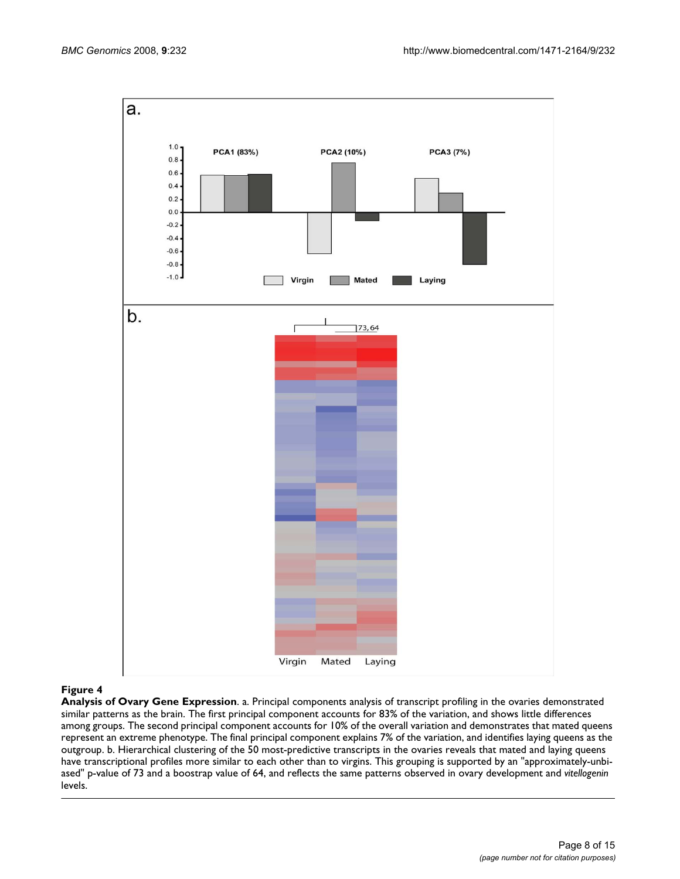

#### **Figure 4**

**Analysis of Ovary Gene Expression**. a. Principal components analysis of transcript profiling in the ovaries demonstrated similar patterns as the brain. The first principal component accounts for 83% of the variation, and shows little differences among groups. The second principal component accounts for 10% of the overall variation and demonstrates that mated queens represent an extreme phenotype. The final principal component explains 7% of the variation, and identifies laying queens as the outgroup. b. Hierarchical clustering of the 50 most-predictive transcripts in the ovaries reveals that mated and laying queens have transcriptional profiles more similar to each other than to virgins. This grouping is supported by an "approximately-unbiased" p-value of 73 and a boostrap value of 64, and reflects the same patterns observed in ovary development and *vitellogenin*  levels.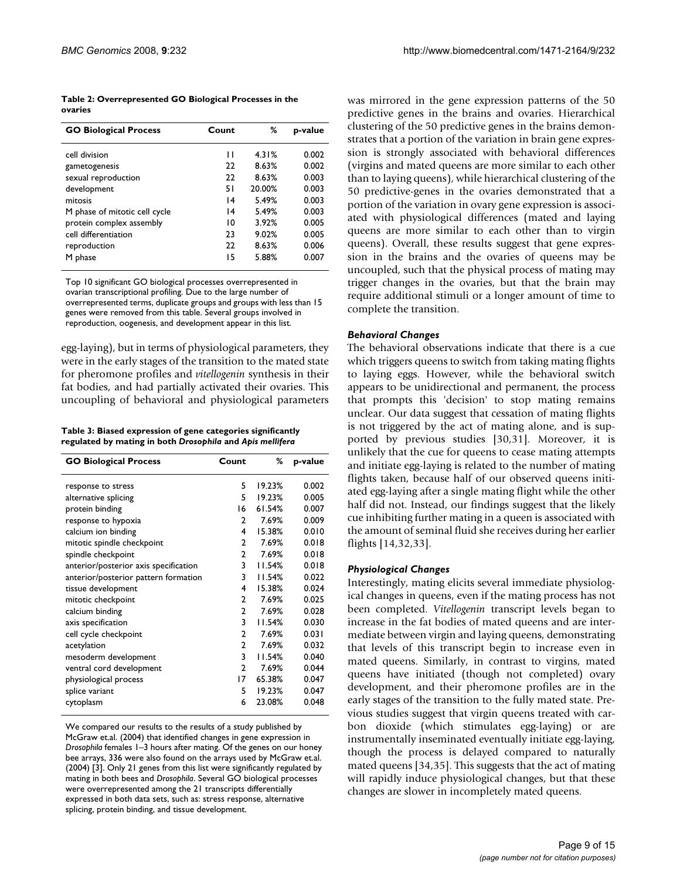| Table 2: Overrepresented GO Biological Processes in the |  |
|---------------------------------------------------------|--|
| ovaries                                                 |  |

| <b>GO Biological Process</b>  | Count | %      | p-value |
|-------------------------------|-------|--------|---------|
| cell division                 | П     | 4.31%  | 0.002   |
| gametogenesis                 | 22    | 8.63%  | 0.002   |
| sexual reproduction           | 22    | 8.63%  | 0.003   |
| development                   | 51    | 20.00% | 0.003   |
| mitosis                       | 14    | 5.49%  | 0.003   |
| M phase of mitotic cell cycle | 14    | 5.49%  | 0.003   |
| protein complex assembly      | 10    | 3.92%  | 0.005   |
| cell differentiation          | 23    | 9.02%  | 0.005   |
| reproduction                  | 22    | 8.63%  | 0.006   |
| M phase                       | 15    | 5.88%  | 0.007   |

Top 10 significant GO biological processes overrepresented in ovarian transcriptional profiling. Due to the large number of overrepresented terms, duplicate groups and groups with less than 15 genes were removed from this table. Several groups involved in reproduction, oogenesis, and development appear in this list.

egg-laying), but in terms of physiological parameters, they were in the early stages of the transition to the mated state for pheromone profiles and *vitellogenin* synthesis in their fat bodies, and had partially activated their ovaries. This uncoupling of behavioral and physiological parameters

**Table 3: Biased expression of gene categories significantly regulated by mating in both** *Drosophila* **and** *Apis mellifera*

| <b>GO Biological Process</b>          | Count         | %      | p-value |
|---------------------------------------|---------------|--------|---------|
| response to stress                    | 5             | 19.23% | 0.002   |
| alternative splicing                  | 5             | 19.23% | 0.005   |
| protein binding                       | 16            | 61.54% | 0.007   |
| response to hypoxia                   | $\mathcal{P}$ | 7.69%  | 0.009   |
| calcium ion binding                   | 4             | 15.38% | 0.010   |
| mitotic spindle checkpoint            | $\mathbf{c}$  | 7.69%  | 0.018   |
| spindle checkpoint                    | $\mathbf{2}$  | 7.69%  | 0.018   |
| anterior/posterior axis specification | 3             | 11.54% | 0.018   |
| anterior/posterior pattern formation  | 3             | 11.54% | 0.022   |
| tissue development                    | 4             | 15.38% | 0.024   |
| mitotic checkpoint                    | $\mathcal{P}$ | 7.69%  | 0.025   |
| calcium binding                       | $\mathbf{2}$  | 7.69%  | 0.028   |
| axis specification                    | 3             | 11.54% | 0.030   |
| cell cycle checkpoint                 | $\mathcal{P}$ | 7.69%  | 0.031   |
| acetylation                           | $\mathbf{2}$  | 7.69%  | 0.032   |
| mesoderm development                  | 3             | 11.54% | 0.040   |
| ventral cord development              | $\mathbf{2}$  | 7.69%  | 0.044   |
| physiological process                 | 17            | 65.38% | 0.047   |
| splice variant                        | 5             | 19.23% | 0.047   |
| cytoplasm                             | 6             | 23.08% | 0.048   |

We compared our results to the results of a study published by McGraw et.al. (2004) that identified changes in gene expression in *Drosophila* females 1–3 hours after mating. Of the genes on our honey bee arrays, 336 were also found on the arrays used by McGraw et.al. (2004) [3]. Only 21 genes from this list were significantly regulated by mating in both bees and *Drosophila*. Several GO biological processes were overrepresented among the 21 transcripts differentially expressed in both data sets, such as: stress response, alternative splicing, protein binding, and tissue development.

was mirrored in the gene expression patterns of the 50 predictive genes in the brains and ovaries. Hierarchical clustering of the 50 predictive genes in the brains demonstrates that a portion of the variation in brain gene expression is strongly associated with behavioral differences (virgins and mated queens are more similar to each other than to laying queens), while hierarchical clustering of the 50 predictive-genes in the ovaries demonstrated that a portion of the variation in ovary gene expression is associated with physiological differences (mated and laying queens are more similar to each other than to virgin queens). Overall, these results suggest that gene expression in the brains and the ovaries of queens may be uncoupled, such that the physical process of mating may trigger changes in the ovaries, but that the brain may require additional stimuli or a longer amount of time to complete the transition.

### *Behavioral Changes*

The behavioral observations indicate that there is a cue which triggers queens to switch from taking mating flights to laying eggs. However, while the behavioral switch appears to be unidirectional and permanent, the process that prompts this 'decision' to stop mating remains unclear. Our data suggest that cessation of mating flights is not triggered by the act of mating alone, and is supported by previous studies [30,31]. Moreover, it is unlikely that the cue for queens to cease mating attempts and initiate egg-laying is related to the number of mating flights taken, because half of our observed queens initiated egg-laying after a single mating flight while the other half did not. Instead, our findings suggest that the likely cue inhibiting further mating in a queen is associated with the amount of seminal fluid she receives during her earlier flights [14,32,33].

## *Physiological Changes*

Interestingly, mating elicits several immediate physiological changes in queens, even if the mating process has not been completed. *Vitellogenin* transcript levels began to increase in the fat bodies of mated queens and are intermediate between virgin and laying queens, demonstrating that levels of this transcript begin to increase even in mated queens. Similarly, in contrast to virgins, mated queens have initiated (though not completed) ovary development, and their pheromone profiles are in the early stages of the transition to the fully mated state. Previous studies suggest that virgin queens treated with carbon dioxide (which stimulates egg-laying) or are instrumentally inseminated eventually initiate egg-laying, though the process is delayed compared to naturally mated queens [34,35]. This suggests that the act of mating will rapidly induce physiological changes, but that these changes are slower in incompletely mated queens.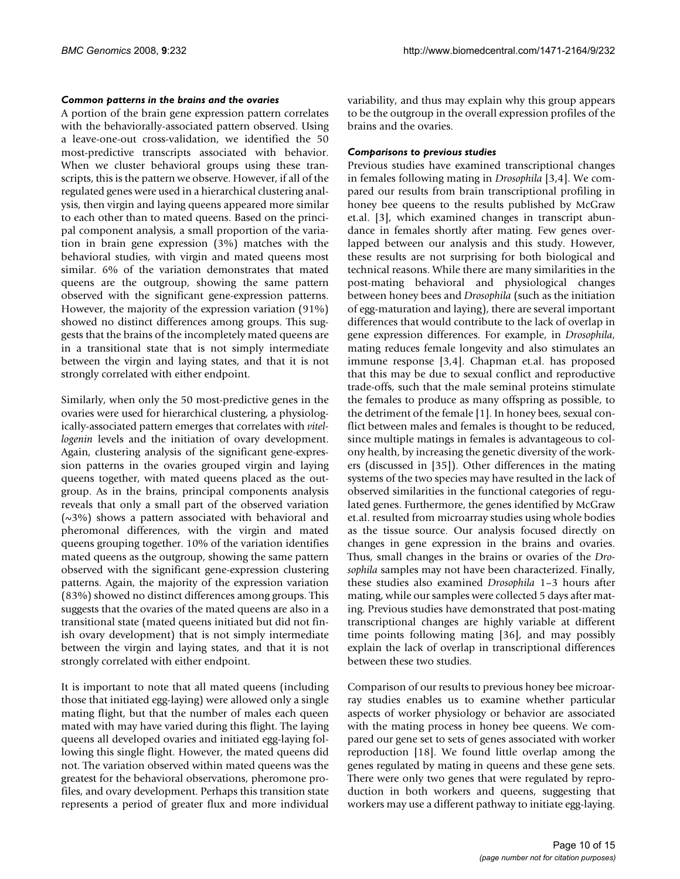## *Common patterns in the brains and the ovaries*

A portion of the brain gene expression pattern correlates with the behaviorally-associated pattern observed. Using a leave-one-out cross-validation, we identified the 50 most-predictive transcripts associated with behavior. When we cluster behavioral groups using these transcripts, this is the pattern we observe. However, if all of the regulated genes were used in a hierarchical clustering analysis, then virgin and laying queens appeared more similar to each other than to mated queens. Based on the principal component analysis, a small proportion of the variation in brain gene expression (3%) matches with the behavioral studies, with virgin and mated queens most similar. 6% of the variation demonstrates that mated queens are the outgroup, showing the same pattern observed with the significant gene-expression patterns. However, the majority of the expression variation (91%) showed no distinct differences among groups. This suggests that the brains of the incompletely mated queens are in a transitional state that is not simply intermediate between the virgin and laying states, and that it is not strongly correlated with either endpoint.

Similarly, when only the 50 most-predictive genes in the ovaries were used for hierarchical clustering, a physiologically-associated pattern emerges that correlates with *vitellogenin* levels and the initiation of ovary development. Again, clustering analysis of the significant gene-expression patterns in the ovaries grouped virgin and laying queens together, with mated queens placed as the outgroup. As in the brains, principal components analysis reveals that only a small part of the observed variation  $(\sim 3\%)$  shows a pattern associated with behavioral and pheromonal differences, with the virgin and mated queens grouping together. 10% of the variation identifies mated queens as the outgroup, showing the same pattern observed with the significant gene-expression clustering patterns. Again, the majority of the expression variation (83%) showed no distinct differences among groups. This suggests that the ovaries of the mated queens are also in a transitional state (mated queens initiated but did not finish ovary development) that is not simply intermediate between the virgin and laying states, and that it is not strongly correlated with either endpoint.

It is important to note that all mated queens (including those that initiated egg-laying) were allowed only a single mating flight, but that the number of males each queen mated with may have varied during this flight. The laying queens all developed ovaries and initiated egg-laying following this single flight. However, the mated queens did not. The variation observed within mated queens was the greatest for the behavioral observations, pheromone profiles, and ovary development. Perhaps this transition state represents a period of greater flux and more individual

variability, and thus may explain why this group appears to be the outgroup in the overall expression profiles of the brains and the ovaries.

## *Comparisons to previous studies*

Previous studies have examined transcriptional changes in females following mating in *Drosophila* [3,4]. We compared our results from brain transcriptional profiling in honey bee queens to the results published by McGraw et.al. [3], which examined changes in transcript abundance in females shortly after mating. Few genes overlapped between our analysis and this study. However, these results are not surprising for both biological and technical reasons. While there are many similarities in the post-mating behavioral and physiological changes between honey bees and *Drosophila* (such as the initiation of egg-maturation and laying), there are several important differences that would contribute to the lack of overlap in gene expression differences. For example, in *Drosophila*, mating reduces female longevity and also stimulates an immune response [3,4]. Chapman et.al. has proposed that this may be due to sexual conflict and reproductive trade-offs, such that the male seminal proteins stimulate the females to produce as many offspring as possible, to the detriment of the female [1]. In honey bees, sexual conflict between males and females is thought to be reduced, since multiple matings in females is advantageous to colony health, by increasing the genetic diversity of the workers (discussed in [35]). Other differences in the mating systems of the two species may have resulted in the lack of observed similarities in the functional categories of regulated genes. Furthermore, the genes identified by McGraw et.al. resulted from microarray studies using whole bodies as the tissue source. Our analysis focused directly on changes in gene expression in the brains and ovaries. Thus, small changes in the brains or ovaries of the *Drosophila* samples may not have been characterized. Finally, these studies also examined *Drosophila* 1–3 hours after mating, while our samples were collected 5 days after mating. Previous studies have demonstrated that post-mating transcriptional changes are highly variable at different time points following mating [36], and may possibly explain the lack of overlap in transcriptional differences between these two studies.

Comparison of our results to previous honey bee microarray studies enables us to examine whether particular aspects of worker physiology or behavior are associated with the mating process in honey bee queens. We compared our gene set to sets of genes associated with worker reproduction [18]. We found little overlap among the genes regulated by mating in queens and these gene sets. There were only two genes that were regulated by reproduction in both workers and queens, suggesting that workers may use a different pathway to initiate egg-laying.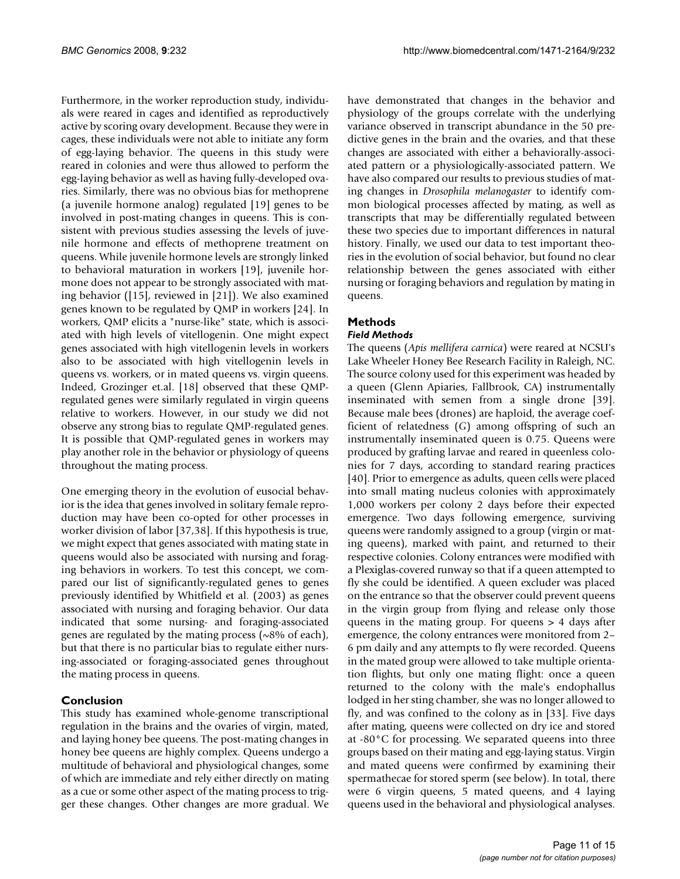Furthermore, in the worker reproduction study, individuals were reared in cages and identified as reproductively active by scoring ovary development. Because they were in cages, these individuals were not able to initiate any form of egg-laying behavior. The queens in this study were reared in colonies and were thus allowed to perform the egg-laying behavior as well as having fully-developed ovaries. Similarly, there was no obvious bias for methoprene (a juvenile hormone analog) regulated [19] genes to be involved in post-mating changes in queens. This is consistent with previous studies assessing the levels of juvenile hormone and effects of methoprene treatment on queens. While juvenile hormone levels are strongly linked to behavioral maturation in workers [19], juvenile hormone does not appear to be strongly associated with mating behavior ([15], reviewed in [21]). We also examined genes known to be regulated by QMP in workers [24]. In workers, QMP elicits a "nurse-like" state, which is associated with high levels of vitellogenin. One might expect genes associated with high vitellogenin levels in workers also to be associated with high vitellogenin levels in queens vs. workers, or in mated queens vs. virgin queens. Indeed, Grozinger et.al. [18] observed that these QMPregulated genes were similarly regulated in virgin queens relative to workers. However, in our study we did not observe any strong bias to regulate QMP-regulated genes. It is possible that QMP-regulated genes in workers may play another role in the behavior or physiology of queens throughout the mating process.

One emerging theory in the evolution of eusocial behavior is the idea that genes involved in solitary female reproduction may have been co-opted for other processes in worker division of labor [37,38]. If this hypothesis is true, we might expect that genes associated with mating state in queens would also be associated with nursing and foraging behaviors in workers. To test this concept, we compared our list of significantly-regulated genes to genes previously identified by Whitfield et al. (2003) as genes associated with nursing and foraging behavior. Our data indicated that some nursing- and foraging-associated genes are regulated by the mating process (~8% of each), but that there is no particular bias to regulate either nursing-associated or foraging-associated genes throughout the mating process in queens.

# **Conclusion**

This study has examined whole-genome transcriptional regulation in the brains and the ovaries of virgin, mated, and laying honey bee queens. The post-mating changes in honey bee queens are highly complex. Queens undergo a multitude of behavioral and physiological changes, some of which are immediate and rely either directly on mating as a cue or some other aspect of the mating process to trigger these changes. Other changes are more gradual. We have demonstrated that changes in the behavior and physiology of the groups correlate with the underlying variance observed in transcript abundance in the 50 predictive genes in the brain and the ovaries, and that these changes are associated with either a behaviorally-associated pattern or a physiologically-associated pattern. We have also compared our results to previous studies of mating changes in *Drosophila melanogaster* to identify common biological processes affected by mating, as well as transcripts that may be differentially regulated between these two species due to important differences in natural history. Finally, we used our data to test important theories in the evolution of social behavior, but found no clear relationship between the genes associated with either nursing or foraging behaviors and regulation by mating in queens.

# **Methods**

## *Field Methods*

The queens (*Apis mellifera carnica*) were reared at NCSU's Lake Wheeler Honey Bee Research Facility in Raleigh, NC. The source colony used for this experiment was headed by a queen (Glenn Apiaries, Fallbrook, CA) instrumentally inseminated with semen from a single drone [39]. Because male bees (drones) are haploid, the average coefficient of relatedness (*G*) among offspring of such an instrumentally inseminated queen is 0.75. Queens were produced by grafting larvae and reared in queenless colonies for 7 days, according to standard rearing practices [40]. Prior to emergence as adults, queen cells were placed into small mating nucleus colonies with approximately 1,000 workers per colony 2 days before their expected emergence. Two days following emergence, surviving queens were randomly assigned to a group (virgin or mating queens), marked with paint, and returned to their respective colonies. Colony entrances were modified with a Plexiglas-covered runway so that if a queen attempted to fly she could be identified. A queen excluder was placed on the entrance so that the observer could prevent queens in the virgin group from flying and release only those queens in the mating group. For queens > 4 days after emergence, the colony entrances were monitored from 2– 6 pm daily and any attempts to fly were recorded. Queens in the mated group were allowed to take multiple orientation flights, but only one mating flight: once a queen returned to the colony with the male's endophallus lodged in her sting chamber, she was no longer allowed to fly, and was confined to the colony as in [33]. Five days after mating, queens were collected on dry ice and stored at -80°C for processing. We separated queens into three groups based on their mating and egg-laying status. Virgin and mated queens were confirmed by examining their spermathecae for stored sperm (see below). In total, there were 6 virgin queens, 5 mated queens, and 4 laying queens used in the behavioral and physiological analyses.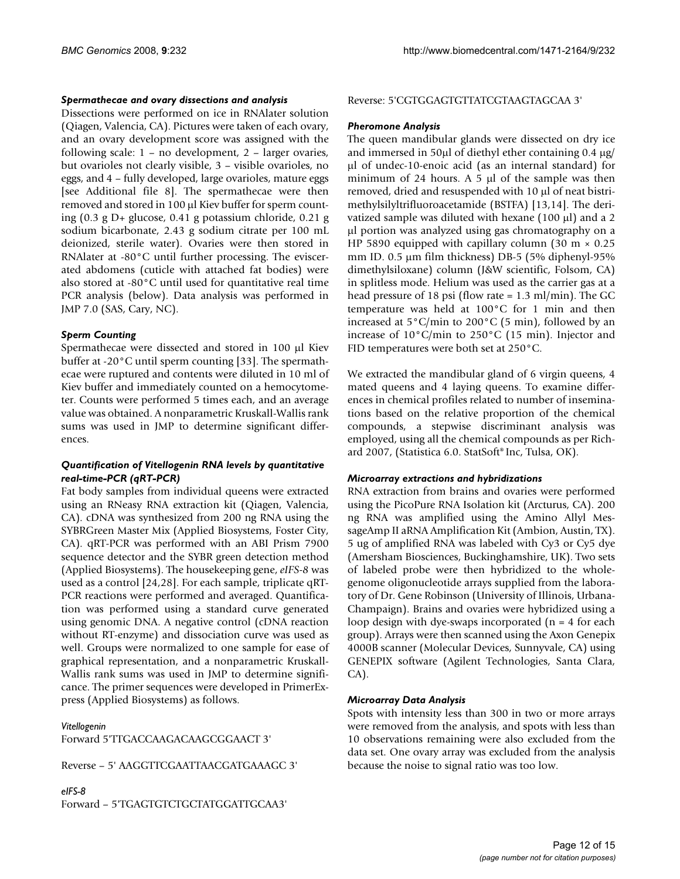## *Spermathecae and ovary dissections and analysis*

Dissections were performed on ice in RNAlater solution (Qiagen, Valencia, CA). Pictures were taken of each ovary, and an ovary development score was assigned with the following scale: 1 – no development, 2 – larger ovaries, but ovarioles not clearly visible, 3 – visible ovarioles, no eggs, and 4 – fully developed, large ovarioles, mature eggs [see Additional file 8]. The spermathecae were then removed and stored in 100 µl Kiev buffer for sperm counting (0.3 g D+ glucose, 0.41 g potassium chloride, 0.21 g sodium bicarbonate, 2.43 g sodium citrate per 100 mL deionized, sterile water). Ovaries were then stored in RNAlater at -80°C until further processing. The eviscerated abdomens (cuticle with attached fat bodies) were also stored at -80°C until used for quantitative real time PCR analysis (below). Data analysis was performed in JMP 7.0 (SAS, Cary, NC).

## *Sperm Counting*

Spermathecae were dissected and stored in 100 µl Kiev buffer at -20°C until sperm counting [33]. The spermathecae were ruptured and contents were diluted in 10 ml of Kiev buffer and immediately counted on a hemocytometer. Counts were performed 5 times each, and an average value was obtained. A nonparametric Kruskall-Wallis rank sums was used in JMP to determine significant differences.

## *Quantification of Vitellogenin RNA levels by quantitative real-time-PCR (qRT-PCR)*

Fat body samples from individual queens were extracted using an RNeasy RNA extraction kit (Qiagen, Valencia, CA). cDNA was synthesized from 200 ng RNA using the SYBRGreen Master Mix (Applied Biosystems, Foster City, CA). qRT-PCR was performed with an ABI Prism 7900 sequence detector and the SYBR green detection method (Applied Biosystems). The housekeeping gene, *eIFS-8* was used as a control [24,28]. For each sample, triplicate qRT-PCR reactions were performed and averaged. Quantification was performed using a standard curve generated using genomic DNA. A negative control (cDNA reaction without RT-enzyme) and dissociation curve was used as well. Groups were normalized to one sample for ease of graphical representation, and a nonparametric Kruskall-Wallis rank sums was used in JMP to determine significance. The primer sequences were developed in PrimerExpress (Applied Biosystems) as follows.

*Vitellogenin*

Forward 5'TTGACCAAGACAAGCGGAACT 3'

Reverse – 5' AAGGTTCGAATTAACGATGAAAGC 3'

# *eIFS-8*

Forward – 5'TGAGTGTCTGCTATGGATTGCAA3'

## Reverse: 5'CGTGGAGTGTTATCGTAAGTAGCAA 3'

## *Pheromone Analysis*

The queen mandibular glands were dissected on dry ice and immersed in 50µl of diethyl ether containing 0.4 µg/ µl of undec-10-enoic acid (as an internal standard) for minimum of 24 hours. A 5  $\mu$ l of the sample was then removed, dried and resuspended with 10 µl of neat bistrimethylsilyltrifluoroacetamide (BSTFA) [13,14]. The derivatized sample was diluted with hexane  $(100 \mu l)$  and a 2 µl portion was analyzed using gas chromatography on a HP 5890 equipped with capillary column (30 m  $\times$  0.25 mm ID. 0.5 µm film thickness) DB-5 (5% diphenyl-95% dimethylsiloxane) column (J&W scientific, Folsom, CA) in splitless mode. Helium was used as the carrier gas at a head pressure of 18 psi (flow rate = 1.3 ml/min). The GC temperature was held at 100°C for 1 min and then increased at 5°C/min to 200°C (5 min), followed by an increase of 10°C/min to 250°C (15 min). Injector and FID temperatures were both set at 250°C.

We extracted the mandibular gland of 6 virgin queens, 4 mated queens and 4 laying queens. To examine differences in chemical profiles related to number of inseminations based on the relative proportion of the chemical compounds, a stepwise discriminant analysis was employed, using all the chemical compounds as per Richard 2007, (Statistica 6.0. StatSoft® Inc, Tulsa, OK).

#### *Microarray extractions and hybridizations*

RNA extraction from brains and ovaries were performed using the PicoPure RNA Isolation kit (Arcturus, CA). 200 ng RNA was amplified using the Amino Allyl MessageAmp II aRNA Amplification Kit (Ambion, Austin, TX). 5 ug of amplified RNA was labeled with Cy3 or Cy5 dye (Amersham Biosciences, Buckinghamshire, UK). Two sets of labeled probe were then hybridized to the wholegenome oligonucleotide arrays supplied from the laboratory of Dr. Gene Robinson (University of Illinois, Urbana-Champaign). Brains and ovaries were hybridized using a loop design with dye-swaps incorporated (n = 4 for each group). Arrays were then scanned using the Axon Genepix 4000B scanner (Molecular Devices, Sunnyvale, CA) using GENEPIX software (Agilent Technologies, Santa Clara, CA).

## *Microarray Data Analysis*

Spots with intensity less than 300 in two or more arrays were removed from the analysis, and spots with less than 10 observations remaining were also excluded from the data set. One ovary array was excluded from the analysis because the noise to signal ratio was too low.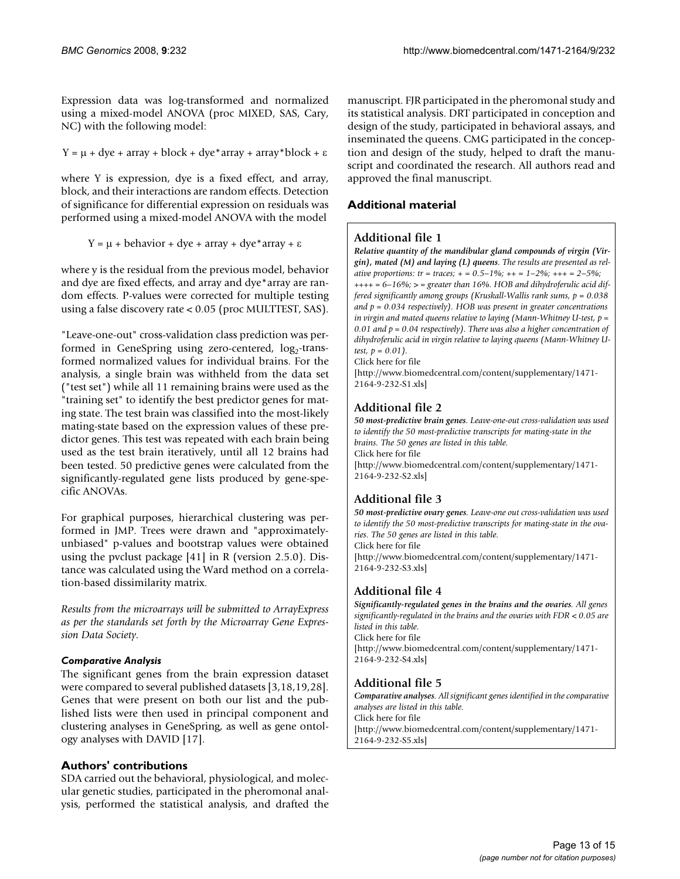Expression data was log-transformed and normalized using a mixed-model ANOVA (proc MIXED, SAS, Cary, NC) with the following model:

Y =  $\mu$  + dye + array + block + dye\*array + array\*block +  $\varepsilon$ 

where Y is expression, dye is a fixed effect, and array, block, and their interactions are random effects. Detection of significance for differential expression on residuals was performed using a mixed-model ANOVA with the model

 $Y = μ + behavior + dye + array + dye*array + ε$ 

where y is the residual from the previous model, behavior and dye are fixed effects, and array and dye\*array are random effects. P-values were corrected for multiple testing using a false discovery rate < 0.05 (proc MULTTEST, SAS).

"Leave-one-out" cross-validation class prediction was performed in GeneSpring using zero-centered,  $log<sub>2</sub>$ -transformed normalized values for individual brains. For the analysis, a single brain was withheld from the data set ("test set") while all 11 remaining brains were used as the "training set" to identify the best predictor genes for mating state. The test brain was classified into the most-likely mating-state based on the expression values of these predictor genes. This test was repeated with each brain being used as the test brain iteratively, until all 12 brains had been tested. 50 predictive genes were calculated from the significantly-regulated gene lists produced by gene-specific ANOVAs.

For graphical purposes, hierarchical clustering was performed in JMP. Trees were drawn and "approximatelyunbiased" p-values and bootstrap values were obtained using the pvclust package [41] in R (version 2.5.0). Distance was calculated using the Ward method on a correlation-based dissimilarity matrix.

*Results from the microarrays will be submitted to ArrayExpress as per the standards set forth by the Microarray Gene Expression Data Society*.

# *Comparative Analysis*

The significant genes from the brain expression dataset were compared to several published datasets [3,18,19,28]. Genes that were present on both our list and the published lists were then used in principal component and clustering analyses in GeneSpring, as well as gene ontology analyses with DAVID [17].

# **Authors' contributions**

SDA carried out the behavioral, physiological, and molecular genetic studies, participated in the pheromonal analysis, performed the statistical analysis, and drafted the manuscript. FJR participated in the pheromonal study and its statistical analysis. DRT participated in conception and design of the study, participated in behavioral assays, and inseminated the queens. CMG participated in the conception and design of the study, helped to draft the manuscript and coordinated the research. All authors read and approved the final manuscript.

# **Additional material**

# **Additional file 1**

*Relative quantity of the mandibular gland compounds of virgin (Virgin), mated (M) and laying (L) queens. The results are presented as relative proportions: tr = traces; + = 0.5–1%; ++ = 1–2%; +++ = 2–5%; ++++ = 6–16%; > = greater than 16%. HOB and dihydroferulic acid differed significantly among groups (Kruskall-Wallis rank sums, p = 0.038 and p = 0.034 respectively). HOB was present in greater concentrations in virgin and mated queens relative to laying (Mann-Whitney U-test, p =*  0.01 and  $p = 0.04$  respectively). There was also a higher concentration of *dihydroferulic acid in virgin relative to laying queens (Mann-Whitney Utest, p = 0.01).*

Click here for file

[\[http://www.biomedcentral.com/content/supplementary/1471-](http://www.biomedcentral.com/content/supplementary/1471-2164-9-232-S1.xls) 2164-9-232-S1.xls]

# **Additional file 2**

*50 most-predictive brain genes. Leave-one-out cross-validation was used to identify the 50 most-predictive transcripts for mating-state in the brains. The 50 genes are listed in this table.* Click here for file [\[http://www.biomedcentral.com/content/supplementary/1471-](http://www.biomedcentral.com/content/supplementary/1471-2164-9-232-S2.xls) 2164-9-232-S2.xls]

# **Additional file 3**

*50 most-predictive ovary genes. Leave-one out cross-validation was used to identify the 50 most-predictive transcripts for mating-state in the ovaries. The 50 genes are listed in this table.* Click here for file [\[http://www.biomedcentral.com/content/supplementary/1471-](http://www.biomedcentral.com/content/supplementary/1471-2164-9-232-S3.xls) 2164-9-232-S3.xls]

# **Additional file 4**

*Significantly-regulated genes in the brains and the ovaries. All genes significantly-regulated in the brains and the ovaries with FDR < 0.05 are listed in this table.* Click here for file [\[http://www.biomedcentral.com/content/supplementary/1471-](http://www.biomedcentral.com/content/supplementary/1471-2164-9-232-S4.xls) 2164-9-232-S4.xls]

# **Additional file 5**

*Comparative analyses. All significant genes identified in the comparative analyses are listed in this table.* Click here for file [\[http://www.biomedcentral.com/content/supplementary/1471-](http://www.biomedcentral.com/content/supplementary/1471-2164-9-232-S5.xls) 2164-9-232-S5.xls]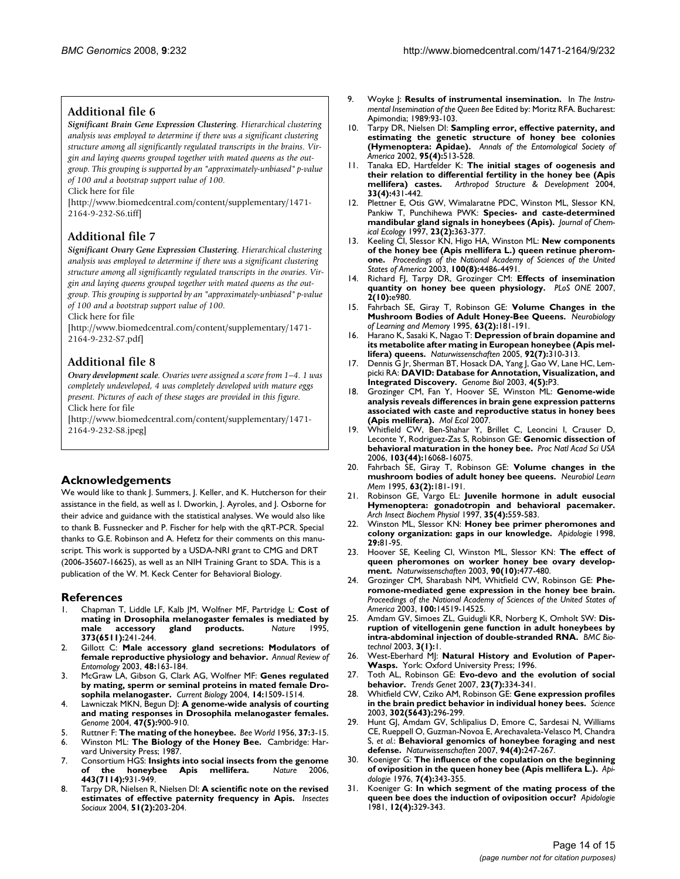## **Additional file 6**

*Significant Brain Gene Expression Clustering. Hierarchical clustering analysis was employed to determine if there was a significant clustering structure among all significantly regulated transcripts in the brains. Virgin and laying queens grouped together with mated queens as the outgroup. This grouping is supported by an "approximately-unbiased" p-value of 100 and a bootstrap support value of 100.*

Click here for file

[\[http://www.biomedcentral.com/content/supplementary/1471-](http://www.biomedcentral.com/content/supplementary/1471-2164-9-232-S6.tiff) 2164-9-232-S6.tiff]

# **Additional file 7**

*Significant Ovary Gene Expression Clustering. Hierarchical clustering analysis was employed to determine if there was a significant clustering structure among all significantly regulated transcripts in the ovaries. Virgin and laying queens grouped together with mated queens as the outgroup. This grouping is supported by an "approximately-unbiased" p-value of 100 and a bootstrap support value of 100.*

Click here for file

[\[http://www.biomedcentral.com/content/supplementary/1471-](http://www.biomedcentral.com/content/supplementary/1471-2164-9-232-S7.pdf) 2164-9-232-S7.pdf]

# **Additional file 8**

*Ovary development scale. Ovaries were assigned a score from 1–4. 1 was completely undeveloped, 4 was completely developed with mature eggs present. Pictures of each of these stages are provided in this figure.* Click here for file

[\[http://www.biomedcentral.com/content/supplementary/1471-](http://www.biomedcentral.com/content/supplementary/1471-2164-9-232-S8.jpeg) 2164-9-232-S8.jpeg]

## **Acknowledgements**

We would like to thank J. Summers, J. Keller, and K. Hutcherson for their assistance in the field, as well as I. Dworkin, J. Ayroles, and J. Osborne for their advice and guidance with the statistical analyses. We would also like to thank B. Fussnecker and P. Fischer for help with the qRT-PCR. Special thanks to G.E. Robinson and A. Hefetz for their comments on this manuscript. This work is supported by a USDA-NRI grant to CMG and DRT (2006-35607-16625), as well as an NIH Training Grant to SDA. This is a publication of the W. M. Keck Center for Behavioral Biology.

## **References**

- 1. Chapman T, Liddle LF, Kalb JM, Wolfner MF, Partridge L: **[Cost of](http://www.ncbi.nlm.nih.gov/entrez/query.fcgi?cmd=Retrieve&db=PubMed&dopt=Abstract&list_uids=7816137)** [mating in Drosophila melanogaster females is mediated by](http://www.ncbi.nlm.nih.gov/entrez/query.fcgi?cmd=Retrieve&db=PubMed&dopt=Abstract&list_uids=7816137)<br>male accessory gland products. Nature 1995, [male accessory gland products.](http://www.ncbi.nlm.nih.gov/entrez/query.fcgi?cmd=Retrieve&db=PubMed&dopt=Abstract&list_uids=7816137) **373(6511):**241-244.
- 2. Gillott C: **[Male accessory gland secretions: Modulators of](http://www.ncbi.nlm.nih.gov/entrez/query.fcgi?cmd=Retrieve&db=PubMed&dopt=Abstract&list_uids=12208817) [female reproductive physiology and behavior.](http://www.ncbi.nlm.nih.gov/entrez/query.fcgi?cmd=Retrieve&db=PubMed&dopt=Abstract&list_uids=12208817)** *Annual Review of Entomology* 2003, **48:**163-184.
- 3. McGraw LA, Gibson G, Clark AG, Wolfner MF: **[Genes regulated](http://www.ncbi.nlm.nih.gov/entrez/query.fcgi?cmd=Retrieve&db=PubMed&dopt=Abstract&list_uids=15324670) [by mating, sperm or seminal proteins in mated female Dro](http://www.ncbi.nlm.nih.gov/entrez/query.fcgi?cmd=Retrieve&db=PubMed&dopt=Abstract&list_uids=15324670)[sophila melanogaster.](http://www.ncbi.nlm.nih.gov/entrez/query.fcgi?cmd=Retrieve&db=PubMed&dopt=Abstract&list_uids=15324670)** *Current Biology* 2004, **14:**1509-1514.
- 4. Lawniczak MKN, Begun DJ: **[A genome-wide analysis of courting](http://www.ncbi.nlm.nih.gov/entrez/query.fcgi?cmd=Retrieve&db=PubMed&dopt=Abstract&list_uids=15499404) [and mating responses in Drosophila melanogaster females.](http://www.ncbi.nlm.nih.gov/entrez/query.fcgi?cmd=Retrieve&db=PubMed&dopt=Abstract&list_uids=15499404)** *Genome* 2004, **47(5):**900-910.
- 5. Ruttner F: **The mating of the honeybee.** *Bee World* 1956, **37:**3-15.
- 6. Winston ML: **The Biology of the Honey Bee.** Cambridge: Harvard University Press; 1987.
- 7. Consortium HGS: **[Insights into social insects from the genome](http://www.ncbi.nlm.nih.gov/entrez/query.fcgi?cmd=Retrieve&db=PubMed&dopt=Abstract&list_uids=17073008) [of the honeybee Apis mellifera.](http://www.ncbi.nlm.nih.gov/entrez/query.fcgi?cmd=Retrieve&db=PubMed&dopt=Abstract&list_uids=17073008)** *Nature* 2006, **443(7114):**931-949.
- 8. Tarpy DR, Nielsen R, Nielsen DI: **A scientific note on the revised estimates of effective paternity frequency in Apis.** *Insectes Sociaux* 2004, **51(2):**203-204.
- 9. Woyke |: **Results of instrumental insemination.** In *The Instrumental Insemination of the Queen Bee* Edited by: Moritz RFA. Bucharest: Apimondia; 1989:93-103.
- 10. Tarpy DR, Nielsen DI: **Sampling error, effective paternity, and estimating the genetic structure of honey bee colonies (Hymenoptera: Apidae).** *Annals of the Entomological Society of America* 2002, **95(4):**513-528.
- 11. Tanaka ED, Hartfelder K: **[The initial stages of oogenesis and](http://www.ncbi.nlm.nih.gov/entrez/query.fcgi?cmd=Retrieve&db=PubMed&dopt=Abstract&list_uids=18089049) [their relation to differential fertility in the honey bee \(Apis](http://www.ncbi.nlm.nih.gov/entrez/query.fcgi?cmd=Retrieve&db=PubMed&dopt=Abstract&list_uids=18089049) [mellifera\) castes.](http://www.ncbi.nlm.nih.gov/entrez/query.fcgi?cmd=Retrieve&db=PubMed&dopt=Abstract&list_uids=18089049)** *Arthropod Structure & Development* 2004, **33(4):**431-442.
- 12. Plettner E, Otis GW, Wimalaratne PDC, Winston ML, Slessor KN, Pankiw T, Punchihewa PWK: **Species- and caste-determined mandibular gland signals in honeybees (Apis).** *Journal of Chemical Ecology* 1997, **23(2):**363-377.
- 13. Keeling CI, Slessor KN, Higo HA, Winston ML: **[New components](http://www.ncbi.nlm.nih.gov/entrez/query.fcgi?cmd=Retrieve&db=PubMed&dopt=Abstract&list_uids=12676987) [of the honey bee \(Apis mellifera L.\) queen retinue pherom](http://www.ncbi.nlm.nih.gov/entrez/query.fcgi?cmd=Retrieve&db=PubMed&dopt=Abstract&list_uids=12676987)[one.](http://www.ncbi.nlm.nih.gov/entrez/query.fcgi?cmd=Retrieve&db=PubMed&dopt=Abstract&list_uids=12676987)** *Proceedings of the National Academy of Sciences of the United States of America* 2003, **100(8):**4486-4491.
- 14. Richard FJ, Tarpy DR, Grozinger CM: **[Effects of insemination](http://www.ncbi.nlm.nih.gov/entrez/query.fcgi?cmd=Retrieve&db=PubMed&dopt=Abstract&list_uids=17912357) [quantity on honey bee queen physiology.](http://www.ncbi.nlm.nih.gov/entrez/query.fcgi?cmd=Retrieve&db=PubMed&dopt=Abstract&list_uids=17912357)** *PLoS ONE* 2007, **2(10):**e980.
- 15. Fahrbach SE, Giray T, Robinson GE: **[Volume Changes in the](http://www.ncbi.nlm.nih.gov/entrez/query.fcgi?cmd=Retrieve&db=PubMed&dopt=Abstract&list_uids=7663892) [Mushroom Bodies of Adult Honey-Bee Queens.](http://www.ncbi.nlm.nih.gov/entrez/query.fcgi?cmd=Retrieve&db=PubMed&dopt=Abstract&list_uids=7663892)** *Neurobiology of Learning and Memory* 1995, **63(2):**181-191.
- 16. Harano K, Sasaki K, Nagao T: **[Depression of brain dopamine and](http://www.ncbi.nlm.nih.gov/entrez/query.fcgi?cmd=Retrieve&db=PubMed&dopt=Abstract&list_uids=15856149) [its metabolite after mating in European honeybee \(Apis mel](http://www.ncbi.nlm.nih.gov/entrez/query.fcgi?cmd=Retrieve&db=PubMed&dopt=Abstract&list_uids=15856149)[lifera\) queens.](http://www.ncbi.nlm.nih.gov/entrez/query.fcgi?cmd=Retrieve&db=PubMed&dopt=Abstract&list_uids=15856149)** *Naturwissenschaften* 2005, **92(7):**310-313.
- 17. Dennis G Jr, Sherman BT, Hosack DA, Yang J, Gao W, Lane HC, Lempicki RA: **[DAVID: Database for Annotation, Visualization, and](http://www.ncbi.nlm.nih.gov/entrez/query.fcgi?cmd=Retrieve&db=PubMed&dopt=Abstract&list_uids=12734009) [Integrated Discovery.](http://www.ncbi.nlm.nih.gov/entrez/query.fcgi?cmd=Retrieve&db=PubMed&dopt=Abstract&list_uids=12734009)** *Genome Biol* 2003, **4(5):**P3.
- 18. Grozinger CM, Fan Y, Hoover SE, Winston ML: **[Genome-wide](http://www.ncbi.nlm.nih.gov/entrez/query.fcgi?cmd=Retrieve&db=PubMed&dopt=Abstract&list_uids=17927707) analysis reveals differences in brain gene expression patterns [associated with caste and reproductive status in honey bees](http://www.ncbi.nlm.nih.gov/entrez/query.fcgi?cmd=Retrieve&db=PubMed&dopt=Abstract&list_uids=17927707) [\(Apis mellifera\).](http://www.ncbi.nlm.nih.gov/entrez/query.fcgi?cmd=Retrieve&db=PubMed&dopt=Abstract&list_uids=17927707)** *Mol Ecol* 2007.
- 19. Whitfield CW, Ben-Shahar Y, Brillet C, Leoncini I, Crauser D, Leconte Y, Rodriguez-Zas S, Robinson GE: **[Genomic dissection of](http://www.ncbi.nlm.nih.gov/entrez/query.fcgi?cmd=Retrieve&db=PubMed&dopt=Abstract&list_uids=17065327) [behavioral maturation in the honey bee.](http://www.ncbi.nlm.nih.gov/entrez/query.fcgi?cmd=Retrieve&db=PubMed&dopt=Abstract&list_uids=17065327)** *Proc Natl Acad Sci USA* 2006, **103(44):**16068-16075.
- 20. Fahrbach SE, Giray T, Robinson GE: **[Volume changes in the](http://www.ncbi.nlm.nih.gov/entrez/query.fcgi?cmd=Retrieve&db=PubMed&dopt=Abstract&list_uids=7663892) [mushroom bodies of adult honey bee queens.](http://www.ncbi.nlm.nih.gov/entrez/query.fcgi?cmd=Retrieve&db=PubMed&dopt=Abstract&list_uids=7663892)** *Neurobiol Learn Mem* 1995, **63(2):**181-191.
- 21. Robinson GE, Vargo EL: **[Juvenile hormone in adult eusocial](http://www.ncbi.nlm.nih.gov/entrez/query.fcgi?cmd=Retrieve&db=PubMed&dopt=Abstract&list_uids=9210289) [Hymenoptera: gonadotropin and behavioral pacemaker.](http://www.ncbi.nlm.nih.gov/entrez/query.fcgi?cmd=Retrieve&db=PubMed&dopt=Abstract&list_uids=9210289)** *Arch Insect Biochem Physiol* 1997, **35(4):**559-583.
- 22. Winston ML, Slessor KN: **Honey bee primer pheromones and colony organization: gaps in our knowledge.** *Apidologie* 1998, **29:**81-95.
- 23. Hoover SE, Keeling CI, Winston ML, Slessor KN: **[The effect of](http://www.ncbi.nlm.nih.gov/entrez/query.fcgi?cmd=Retrieve&db=PubMed&dopt=Abstract&list_uids=14564409) [queen pheromones on worker honey bee ovary develop](http://www.ncbi.nlm.nih.gov/entrez/query.fcgi?cmd=Retrieve&db=PubMed&dopt=Abstract&list_uids=14564409)[ment.](http://www.ncbi.nlm.nih.gov/entrez/query.fcgi?cmd=Retrieve&db=PubMed&dopt=Abstract&list_uids=14564409)** *Naturwissenschaften* 2003, **90(10):**477-480.
- 24. Grozinger CM, Sharabash NM, Whitfield CW, Robinson GE: **[Phe](http://www.ncbi.nlm.nih.gov/entrez/query.fcgi?cmd=Retrieve&db=PubMed&dopt=Abstract&list_uids=14573707)[romone-mediated gene expression in the honey bee brain.](http://www.ncbi.nlm.nih.gov/entrez/query.fcgi?cmd=Retrieve&db=PubMed&dopt=Abstract&list_uids=14573707)** *Proceedings of the National Academy of Sciences of the United States of America* 2003, **100:**14519-14525.
- 25. Amdam GV, Simoes ZL, Guidugli KR, Norberg K, Omholt SW: **[Dis](http://www.ncbi.nlm.nih.gov/entrez/query.fcgi?cmd=Retrieve&db=PubMed&dopt=Abstract&list_uids=12546706)[ruption of vitellogenin gene function in adult honeybees by](http://www.ncbi.nlm.nih.gov/entrez/query.fcgi?cmd=Retrieve&db=PubMed&dopt=Abstract&list_uids=12546706) [intra-abdominal injection of double-stranded RNA.](http://www.ncbi.nlm.nih.gov/entrez/query.fcgi?cmd=Retrieve&db=PubMed&dopt=Abstract&list_uids=12546706)** *BMC Biotechnol* 2003, **3(1):**1.
- 26. West-Eberhard MJ: **Natural History and Evolution of Paper-Wasps.** York: Oxford University Press; 1996.
- 27. Toth AL, Robinson GE: **[Evo-devo and the evolution of social](http://www.ncbi.nlm.nih.gov/entrez/query.fcgi?cmd=Retrieve&db=PubMed&dopt=Abstract&list_uids=17509723) [behavior.](http://www.ncbi.nlm.nih.gov/entrez/query.fcgi?cmd=Retrieve&db=PubMed&dopt=Abstract&list_uids=17509723)** *Trends Genet* 2007, **23(7):**334-341.
- 28. Whitfield CW, Cziko AM, Robinson GE: **[Gene expression profiles](http://www.ncbi.nlm.nih.gov/entrez/query.fcgi?cmd=Retrieve&db=PubMed&dopt=Abstract&list_uids=14551438) [in the brain predict behavior in individual honey bees.](http://www.ncbi.nlm.nih.gov/entrez/query.fcgi?cmd=Retrieve&db=PubMed&dopt=Abstract&list_uids=14551438)** *Science* 2003, **302(5643):**296-299.
- 29. Hunt GJ, Amdam GV, Schlipalius D, Emore C, Sardesai N, Williams CE, Rueppell O, Guzman-Novoa E, Arechavaleta-Velasco M, Chandra S, *et al.*: **[Behavioral genomics of honeybee foraging and nest](http://www.ncbi.nlm.nih.gov/entrez/query.fcgi?cmd=Retrieve&db=PubMed&dopt=Abstract&list_uids=17171388) [defense.](http://www.ncbi.nlm.nih.gov/entrez/query.fcgi?cmd=Retrieve&db=PubMed&dopt=Abstract&list_uids=17171388)** *Naturwissenschaften* 2007, **94(4):**247-267.
- 30. Koeniger G: **The influence of the copulation on the beginning of oviposition in the queen honey bee (Apis mellifera L.).** *Apidologie* 1976, **7(4):**343-355.
- 31. Koeniger G: **In which segment of the mating process of the queen bee does the induction of oviposition occur?** *Apidologie* 1981, **12(4):**329-343.